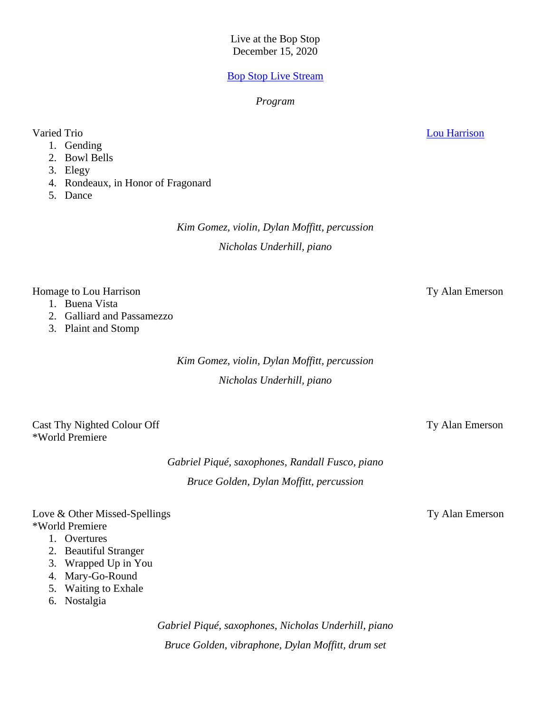Live at the Bop Stop December 15, 2020

## [Bop Stop Live Stream](https://www.facebook.com/bopstop)

### *Program*

- 1. Gending
- 2. Bowl Bells
- 3. Elegy
- 4. Rondeaux, in Honor of Fragonard
- 5. Dance

*Kim Gomez, violin, Dylan Moffitt, percussion Nicholas Underhill, piano*

## Homage to Lou Harrison Ty Alan Emerson

- 1. Buena Vista
- 2. Galliard and Passamezzo
- 3. Plaint and Stomp

*Kim Gomez, violin, Dylan Moffitt, percussion Nicholas Underhill, piano*

Cast Thy Nighted Colour Off Ty Alan Emerson \*World Premiere

> *Gabriel Piqué, saxophones, Randall Fusco, piano Bruce Golden, Dylan Moffitt, percussion*

# Love & Other Missed-Spellings Ty Alan Emerson \*World Premiere

- 1. Overtures
- 2. Beautiful Stranger
- 3. Wrapped Up in You
- 4. Mary-Go-Round
- 5. Waiting to Exhale
- 6. Nostalgia

*Gabriel Piqué, saxophones, Nicholas Underhill, piano Bruce Golden, vibraphone, Dylan Moffitt, drum set*

Varied Trio [Lou Harrison](https://www.allmusic.com/artist/lou-harrison-mn0000207994/biography)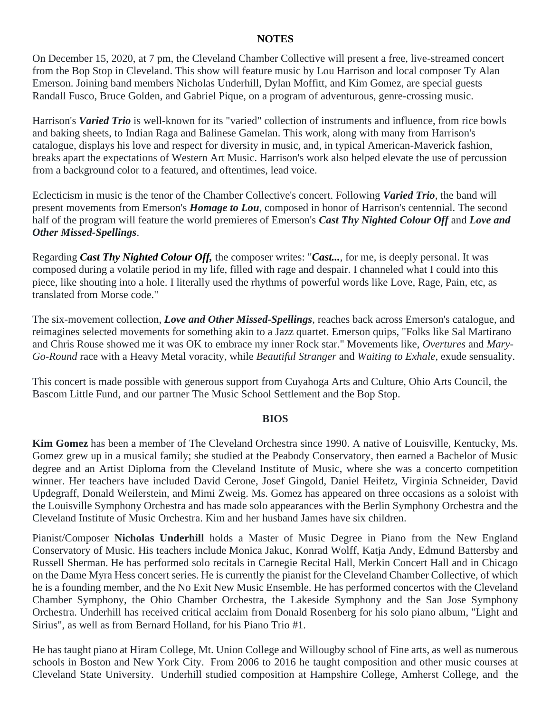## **NOTES**

On December 15, 2020, at 7 pm, the Cleveland Chamber Collective will present a free, live-streamed concert from the Bop Stop in Cleveland. This show will feature music by Lou Harrison and local composer Ty Alan Emerson. Joining band members Nicholas Underhill, Dylan Moffitt, and Kim Gomez, are special guests Randall Fusco, Bruce Golden, and Gabriel Pique, on a program of adventurous, genre-crossing music.

Harrison's *Varied Trio* is well-known for its "varied" collection of instruments and influence, from rice bowls and baking sheets, to Indian Raga and Balinese Gamelan. This work, along with many from Harrison's catalogue, displays his love and respect for diversity in music, and, in typical American-Maverick fashion, breaks apart the expectations of Western Art Music. Harrison's work also helped elevate the use of percussion from a background color to a featured, and oftentimes, lead voice.

Eclecticism in music is the tenor of the Chamber Collective's concert. Following *Varied Trio*, the band will present movements from Emerson's *Homage to Lou*, composed in honor of Harrison's centennial. The second half of the program will feature the world premieres of Emerson's *Cast Thy Nighted Colour Off* and *Love and Other Missed-Spellings*.

Regarding *Cast Thy Nighted Colour Off,* the composer writes: "*Cast...*, for me, is deeply personal. It was composed during a volatile period in my life, filled with rage and despair. I channeled what I could into this piece, like shouting into a hole. I literally used the rhythms of powerful words like Love, Rage, Pain, etc, as translated from Morse code."

The six-movement collection, *Love and Other Missed-Spellings*, reaches back across Emerson's catalogue, and reimagines selected movements for something akin to a Jazz quartet. Emerson quips, "Folks like Sal Martirano and Chris Rouse showed me it was OK to embrace my inner Rock star." Movements like, *Overtures* and *Mary-Go-Round* race with a Heavy Metal voracity, while *Beautiful Stranger* and *Waiting to Exhale*, exude sensuality.

This concert is made possible with generous support from Cuyahoga Arts and Culture, Ohio Arts Council, the Bascom Little Fund, and our partner The Music School Settlement and the Bop Stop.

### **BIOS**

**Kim Gomez** has been a member of The Cleveland Orchestra since 1990. A native of Louisville, Kentucky, Ms. Gomez grew up in a musical family; she studied at the Peabody Conservatory, then earned a Bachelor of Music degree and an Artist Diploma from the Cleveland Institute of Music, where she was a concerto competition winner. Her teachers have included David Cerone, Josef Gingold, Daniel Heifetz, Virginia Schneider, David Updegraff, Donald Weilerstein, and Mimi Zweig. Ms. Gomez has appeared on three occasions as a soloist with the Louisville Symphony Orchestra and has made solo appearances with the Berlin Symphony Orchestra and the Cleveland Institute of Music Orchestra. Kim and her husband James have six children.

Pianist/Composer **Nicholas Underhill** holds a Master of Music Degree in Piano from the New England Conservatory of Music. His teachers include Monica Jakuc, Konrad Wolff, Katja Andy, Edmund Battersby and Russell Sherman. He has performed solo recitals in Carnegie Recital Hall, Merkin Concert Hall and in Chicago on the Dame Myra Hess concert series. He is currently the pianist for the Cleveland Chamber Collective, of which he is a founding member, and the No Exit New Music Ensemble. He has performed concertos with the Cleveland Chamber Symphony, the Ohio Chamber Orchestra, the Lakeside Symphony and the San Jose Symphony Orchestra. Underhill has received critical acclaim from Donald Rosenberg for his solo piano album, "Light and Sirius", as well as from Bernard Holland, for his Piano Trio #1.

He has taught piano at Hiram College, Mt. Union College and Willougby school of Fine arts, as well as numerous schools in Boston and New York City. From 2006 to 2016 he taught composition and other music courses at Cleveland State University. Underhill studied composition at Hampshire College, Amherst College, and the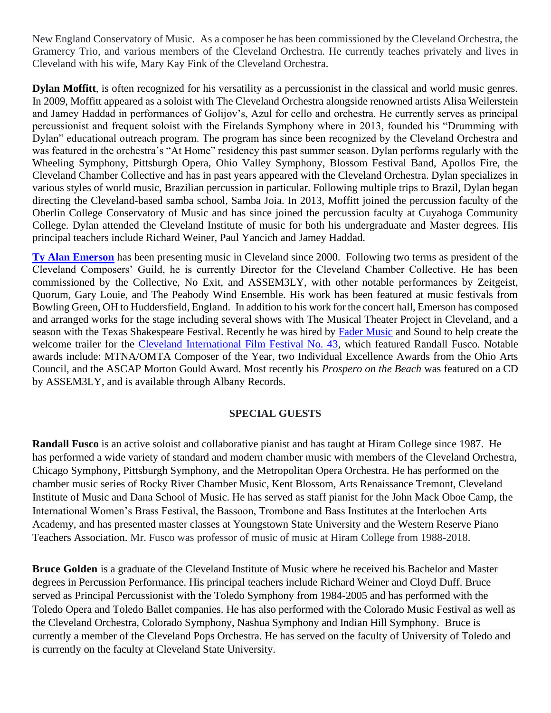New England Conservatory of Music. As a composer he has been commissioned by the Cleveland Orchestra, the Gramercy Trio, and various members of the Cleveland Orchestra. He currently teaches privately and lives in Cleveland with his wife, Mary Kay Fink of the Cleveland Orchestra.

**Dylan Moffitt**, is often recognized for his versatility as a percussionist in the classical and world music genres. In 2009, Moffitt appeared as a soloist with The Cleveland Orchestra alongside renowned artists Alisa Weilerstein and Jamey Haddad in performances of Golijov's, Azul for cello and orchestra. He currently serves as principal percussionist and frequent soloist with the Firelands Symphony where in 2013, founded his "Drumming with Dylan" educational outreach program. The program has since been recognized by the Cleveland Orchestra and was featured in the orchestra's "At Home" residency this past summer season. Dylan performs regularly with the Wheeling Symphony, Pittsburgh Opera, Ohio Valley Symphony, Blossom Festival Band, Apollos Fire, the Cleveland Chamber Collective and has in past years appeared with the Cleveland Orchestra. Dylan specializes in various styles of world music, Brazilian percussion in particular. Following multiple trips to Brazil, Dylan began directing the Cleveland-based samba school, Samba Joia. In 2013, Moffitt joined the percussion faculty of the Oberlin College Conservatory of Music and has since joined the percussion faculty at Cuyahoga Community College. Dylan attended the Cleveland Institute of music for both his undergraduate and Master degrees. His principal teachers include Richard Weiner, Paul Yancich and Jamey Haddad.

**[Ty Alan Emerson](https://tyalanemerson.com/)** has been presenting music in Cleveland since 2000. Following two terms as president of the Cleveland Composers' Guild, he is currently Director for the Cleveland Chamber Collective. He has been commissioned by the Collective, No Exit, and ASSEM3LY, with other notable performances by Zeitgeist, Quorum, Gary Louie, and The Peabody Wind Ensemble. His work has been featured at music festivals from Bowling Green, OH to Huddersfield, England. In addition to his work for the concert hall, Emerson has composed and arranged works for the stage including several shows with The Musical Theater Project in Cleveland, and a season with the Texas Shakespeare Festival. Recently he was hired by [Fader Music](https://www.fadermusicandsound.com/) and Sound to help create the welcome trailer for the [Cleveland International Film Festival No. 43,](https://www.youtube.com/watch?v=Uynr2gADidc&feature=emb_logo) which featured Randall Fusco. Notable awards include: MTNA/OMTA Composer of the Year, two Individual Excellence Awards from the Ohio Arts Council, and the ASCAP Morton Gould Award. Most recently his *Prospero on the Beach* was featured on a CD by ASSEM3LY, and is available through Albany Records.

# **SPECIAL GUESTS**

**Randall Fusco** is an active soloist and collaborative pianist and has taught at Hiram College since 1987. He has performed a wide variety of standard and modern chamber music with members of the Cleveland Orchestra, Chicago Symphony, Pittsburgh Symphony, and the Metropolitan Opera Orchestra. He has performed on the chamber music series of Rocky River Chamber Music, Kent Blossom, Arts Renaissance Tremont, Cleveland Institute of Music and Dana School of Music. He has served as staff pianist for the John Mack Oboe Camp, the International Women's Brass Festival, the Bassoon, Trombone and Bass Institutes at the Interlochen Arts Academy, and has presented master classes at Youngstown State University and the Western Reserve Piano Teachers Association. Mr. Fusco was professor of music of music at Hiram College from 1988-2018.

**Bruce Golden** is a graduate of the Cleveland Institute of Music where he received his Bachelor and Master degrees in Percussion Performance. His principal teachers include Richard Weiner and Cloyd Duff. Bruce served as Principal Percussionist with the Toledo Symphony from 1984-2005 and has performed with the Toledo Opera and Toledo Ballet companies. He has also performed with the Colorado Music Festival as well as the Cleveland Orchestra, Colorado Symphony, Nashua Symphony and Indian Hill Symphony. Bruce is currently a member of the Cleveland Pops Orchestra. He has served on the faculty of University of Toledo and is currently on the faculty at Cleveland State University.